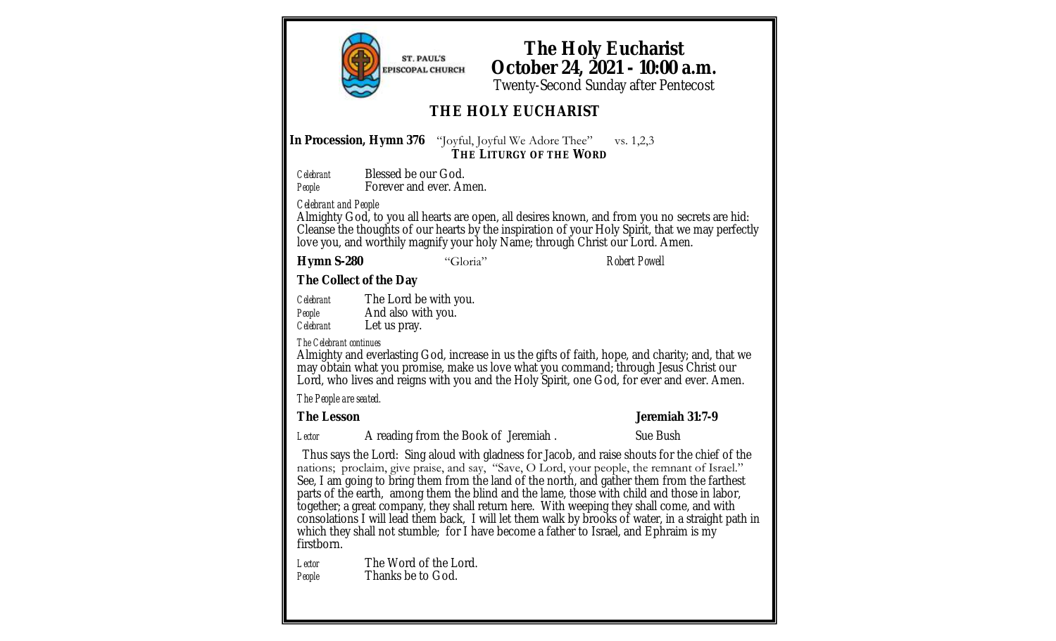**ST. PAUL'S PISCOPAL CHURCH** 

In Procession, Hymn 376 "Joyful, Joyful We Adore Thee" vs. 1,2,3 **THE LITURGY OF THE WORD** *Celebrant* Blessed be our God. People **Forever and ever. Amen.** Almighty God, to you all hearts are open, all desires known, and from you no secrets are hid: Cleanse the thoughts of our hearts by the inspiration of your Holy Spirit, that we may perfectly love you, and worthily magnify your holy Name; through Christ our Lord. Amen. **Hymn S-280** "Gloria" *Robert Powell* **The Holy Eucharist October 24, 2021 - 10:00 a.m.** Twenty-Second Sunday after Pentecost **THE HOLY EUCHARIST**

**The Collect of the Day**

*Celebrant* The Lord be with you. *People* **And also with you.**<br>*Celebrant* Let us pray. Let us pray.

*The Celebrant continues*

*Celebrant and People*

Almighty and everlasting God, increase in us the gifts of faith, hope, and charity; and, that we may obtain what you promise, make us love what you command; through Jesus Christ our Lord, who lives and reigns with you and the Holy Spirit, one God, for ever and ever. Amen.

*The People are seated.* 

**The Lesson Jeremiah 31:7-9**

Lector **A** reading from the Book of Jeremiah . Sue Bush

Thus says the Lord: Sing aloud with gladness for Jacob, and raise shouts for the chief of the nations; proclaim, give praise, and say, "Save, O Lord, your people, the remnant of Israel." See, I am going to bring them from the land of the north, and gather them from the farthest parts of the earth, among them the blind and the lame, those with child and those in labor, together; a great company, they shall return here. With weeping they shall come, and with consolations I will lead them back, I will let them walk by brooks of water, in a straight path in which they shall not stumble; for I have become a father to Israel, and Ephraim is my firstborn.

*Lector* The Word of the Lord. *People* Thanks be to God.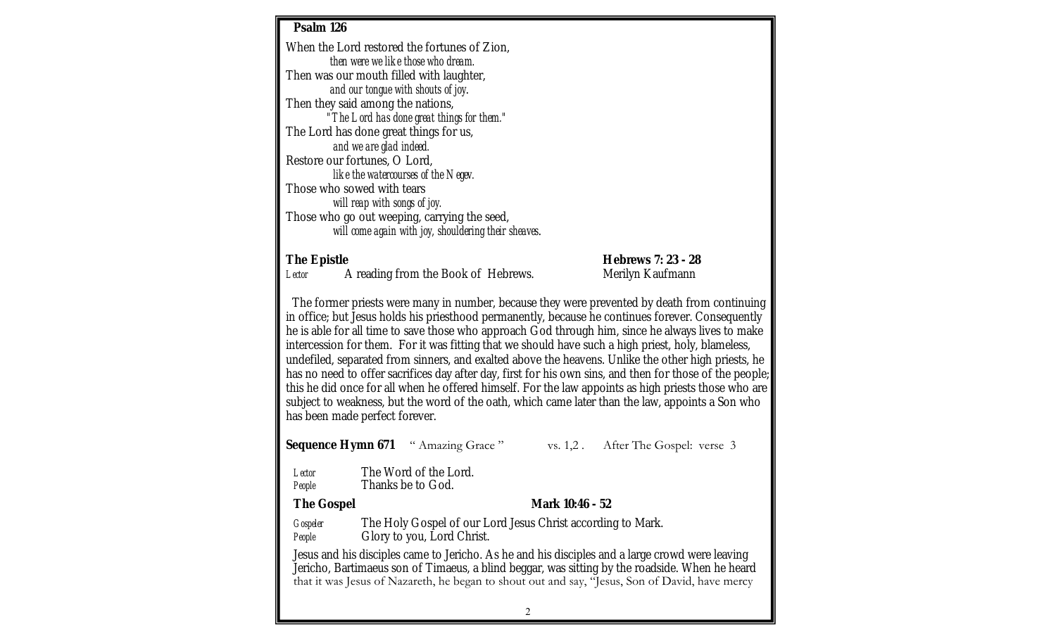| Psalm 126                                                                                                                                                                                                                                                                                                                                                                                                                                                                                                                                                                                                                                                                                                                                                                                                                                                                     |                                                                                           |                                            |  |                                        |  |  |
|-------------------------------------------------------------------------------------------------------------------------------------------------------------------------------------------------------------------------------------------------------------------------------------------------------------------------------------------------------------------------------------------------------------------------------------------------------------------------------------------------------------------------------------------------------------------------------------------------------------------------------------------------------------------------------------------------------------------------------------------------------------------------------------------------------------------------------------------------------------------------------|-------------------------------------------------------------------------------------------|--------------------------------------------|--|----------------------------------------|--|--|
| When the Lord restored the fortunes of Zion,                                                                                                                                                                                                                                                                                                                                                                                                                                                                                                                                                                                                                                                                                                                                                                                                                                  |                                                                                           |                                            |  |                                        |  |  |
|                                                                                                                                                                                                                                                                                                                                                                                                                                                                                                                                                                                                                                                                                                                                                                                                                                                                               | then were we like those who dream.                                                        |                                            |  |                                        |  |  |
|                                                                                                                                                                                                                                                                                                                                                                                                                                                                                                                                                                                                                                                                                                                                                                                                                                                                               | Then was our mouth filled with laughter,<br>and our tongue with shouts of joy.            |                                            |  |                                        |  |  |
|                                                                                                                                                                                                                                                                                                                                                                                                                                                                                                                                                                                                                                                                                                                                                                                                                                                                               | Then they said among the nations,                                                         |                                            |  |                                        |  |  |
|                                                                                                                                                                                                                                                                                                                                                                                                                                                                                                                                                                                                                                                                                                                                                                                                                                                                               | "The Lord has done great things for them."                                                |                                            |  |                                        |  |  |
| The Lord has done great things for us,                                                                                                                                                                                                                                                                                                                                                                                                                                                                                                                                                                                                                                                                                                                                                                                                                                        |                                                                                           |                                            |  |                                        |  |  |
| and we are glad indeed.<br>Restore our fortunes, O Lord,                                                                                                                                                                                                                                                                                                                                                                                                                                                                                                                                                                                                                                                                                                                                                                                                                      |                                                                                           |                                            |  |                                        |  |  |
| like the watercourses of the Negev.                                                                                                                                                                                                                                                                                                                                                                                                                                                                                                                                                                                                                                                                                                                                                                                                                                           |                                                                                           |                                            |  |                                        |  |  |
| Those who sowed with tears                                                                                                                                                                                                                                                                                                                                                                                                                                                                                                                                                                                                                                                                                                                                                                                                                                                    |                                                                                           |                                            |  |                                        |  |  |
| will reap with songs of joy.<br>Those who go out weeping, carrying the seed,                                                                                                                                                                                                                                                                                                                                                                                                                                                                                                                                                                                                                                                                                                                                                                                                  |                                                                                           |                                            |  |                                        |  |  |
| will come again with joy, shouldering their sheaves.                                                                                                                                                                                                                                                                                                                                                                                                                                                                                                                                                                                                                                                                                                                                                                                                                          |                                                                                           |                                            |  |                                        |  |  |
|                                                                                                                                                                                                                                                                                                                                                                                                                                                                                                                                                                                                                                                                                                                                                                                                                                                                               |                                                                                           |                                            |  |                                        |  |  |
| The Epistle<br>Lector                                                                                                                                                                                                                                                                                                                                                                                                                                                                                                                                                                                                                                                                                                                                                                                                                                                         |                                                                                           | A reading from the Book of Hebrews.        |  | Hebrews 7: 23 - 28<br>Merilyn Kaufmann |  |  |
|                                                                                                                                                                                                                                                                                                                                                                                                                                                                                                                                                                                                                                                                                                                                                                                                                                                                               |                                                                                           |                                            |  |                                        |  |  |
| The former priests were many in number, because they were prevented by death from continuing<br>in office; but Jesus holds his priesthood permanently, because he continues forever. Consequently<br>he is able for all time to save those who approach God through him, since he always lives to make<br>intercession for them. For it was fitting that we should have such a high priest, holy, blameless,<br>undefiled, separated from sinners, and exalted above the heavens. Unlike the other high priests, he<br>has no need to offer sacrifices day after day, first for his own sins, and then for those of the people;<br>this he did once for all when he offered himself. For the law appoints as high priests those who are<br>subject to weakness, but the word of the oath, which came later than the law, appoints a Son who<br>has been made perfect forever. |                                                                                           |                                            |  |                                        |  |  |
|                                                                                                                                                                                                                                                                                                                                                                                                                                                                                                                                                                                                                                                                                                                                                                                                                                                                               |                                                                                           | Sequence Hymn 671 " Amazing Grace"         |  | vs. 1,2. After The Gospel: verse 3     |  |  |
| Lector<br>People                                                                                                                                                                                                                                                                                                                                                                                                                                                                                                                                                                                                                                                                                                                                                                                                                                                              |                                                                                           | The Word of the Lord.<br>Thanks be to God. |  |                                        |  |  |
| The Gospel                                                                                                                                                                                                                                                                                                                                                                                                                                                                                                                                                                                                                                                                                                                                                                                                                                                                    | Mark 10:46 - 52                                                                           |                                            |  |                                        |  |  |
| Gospeler<br>People                                                                                                                                                                                                                                                                                                                                                                                                                                                                                                                                                                                                                                                                                                                                                                                                                                                            | The Holy Gospel of our Lord Jesus Christ according to Mark.<br>Glory to you, Lord Christ. |                                            |  |                                        |  |  |
| Jesus and his disciples came to Jericho. As he and his disciples and a large crowd were leaving<br>Jericho, Bartimaeus son of Timaeus, a blind beggar, was sitting by the roadside. When he heard<br>that it was Jesus of Nazareth, he began to shout out and say, "Jesus, Son of David, have mercy                                                                                                                                                                                                                                                                                                                                                                                                                                                                                                                                                                           |                                                                                           |                                            |  |                                        |  |  |

2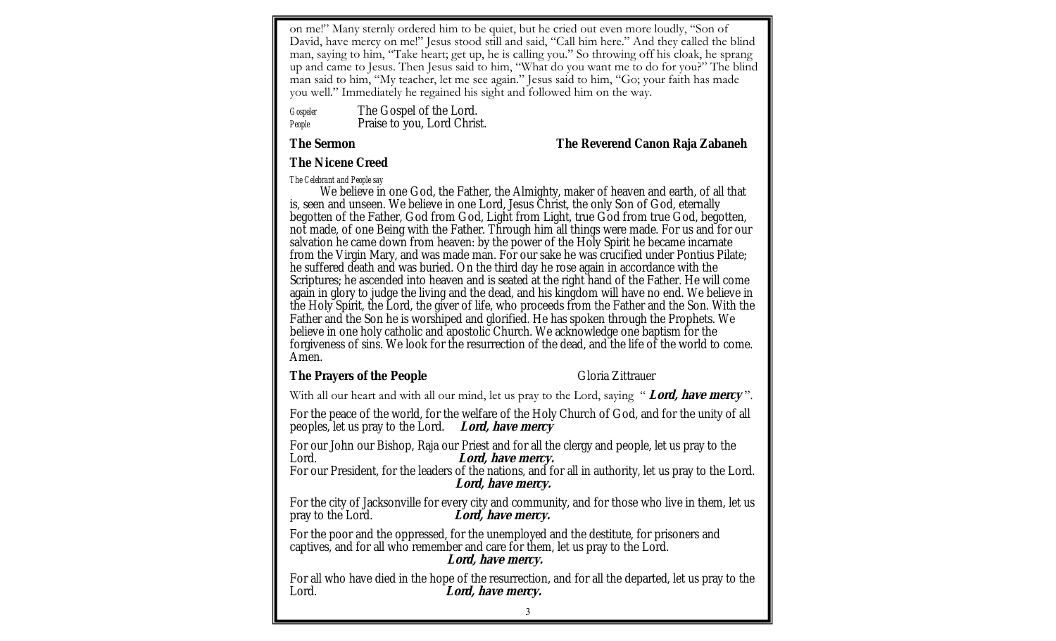on me!" Many sternly ordered him to be quiet, but he cried out even more loudly, "Son of David, have mercy on me!" Jesus stood still and said, "Call him here." And they called the blind man, saying to him, "Take heart; get up, he is calling you." So throwing off his cloak, he sprang up and came to Jesus. Then Jesus said to him, "What do you want me to do for you?" The blind man said to him, "My teacher, let me see again." Jesus said to him, "Go; your faith has made you well." Immediately he regained his sight and followed him on the way.

*Gospeler* The Gospel of the Lord. People Praise to you, Lord Christ.

**The Sermon The Reverend Canon Raja Zabaneh**

**The Nicene Creed**

*The Celebrant and People say*

We believe in one God, the Father, the Almighty, maker of heaven and earth, of all that is, seen and unseen. We believe in one Lord, Jesus Christ, the only Son of God, eternally begotten of the Father, God from God, Light from Light, true God from true God, begotten, not made, of one Being with the Father. Through him all things were made. For us and for our salvation he came down from heaven: by the power of the Holy Spirit he became incarnate from the Virgin Mary, and was made man. For our sake he was crucified under Pontius Pilate; he suffered death and was buried. On the third day he rose again in accordance with the Scriptures; he ascended into heaven and is seated at the right hand of the Father. He will come again in glory to judge the living and the dead, and his kingdom will have no end. We believe in the Holy Spirit, the Lord, the giver of life, who proceeds from the Father and the Son. With the Father and the Son he is worshiped and glorified. He has spoken through the Prophets. We believe in one holy catholic and apostolic Church. We acknowledge one baptism for the forgiveness of sins. We look for the resurrection of the dead, and the life of the world to come. Amen.

The Prayers of the People **Container and Containers** Gloria Zittrauer

With all our heart and with all our mind, let us pray to the Lord, saying " *Lord, have mercy*".

For the peace of the world, for the welfare of the Holy Church of God, and for the unity of all peoples, let us pray to the Lord. **Lord, have mercy** 

For our John our Bishop, Raja our Priest and for all the clergy and people, let us pray to the Lord. **Lord, have mercy.** 

For our President, for the leaders of the nations, and for all in authority, let us pray to the Lord. **Lord, have mercy.** 

For the city of Jacksonville for every city and community, and for those who live in them, let us pray to the Lord. Lord, have mercy. Lord, have mercy.

For the poor and the oppressed, for the unemployed and the destitute, for prisoners and captives, and for all who remember and care for them, let us pray to the Lord. **Lord, have mercy.** 

For all who have died in the hope of the resurrection, and for all the departed, let us pray to the Lord. **Lord, have mercy.**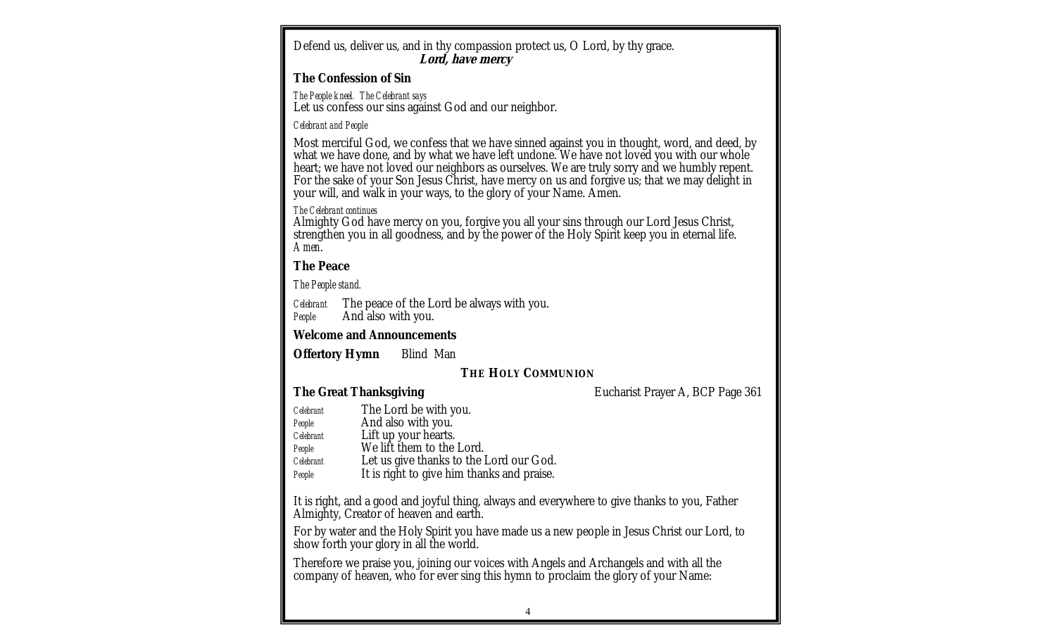| Defend us, deliver us, and in thy compassion protect us, O Lord, by thy grace.<br>Lord, have mercy                                                                                                                                                                                                                                                                                                                                                                |  |  |  |  |  |  |
|-------------------------------------------------------------------------------------------------------------------------------------------------------------------------------------------------------------------------------------------------------------------------------------------------------------------------------------------------------------------------------------------------------------------------------------------------------------------|--|--|--|--|--|--|
| The Confession of Sin                                                                                                                                                                                                                                                                                                                                                                                                                                             |  |  |  |  |  |  |
| The People kneel. The Celebrant says<br>Let us confess our sins against God and our neighbor.                                                                                                                                                                                                                                                                                                                                                                     |  |  |  |  |  |  |
| Celebrant and People                                                                                                                                                                                                                                                                                                                                                                                                                                              |  |  |  |  |  |  |
| Most merciful God, we confess that we have sinned against you in thought, word, and deed, by<br>what we have done, and by what we have left undone. We have not loved you with our whole<br>heart; we have not loved our neighbors as ourselves. We are truly sorry and we humbly repent.<br>For the sake of your Son Jesus Christ, have mercy on us and forgive us; that we may delight in<br>your will, and walk in your ways, to the glory of your Name. Amen. |  |  |  |  |  |  |
| The Celebrant continues<br>Almighty God have mercy on you, forgive you all your sins through our Lord Jesus Christ,<br>strengthen you in all goodness, and by the power of the Holy Spirit keep you in eternal life.<br>Amen.                                                                                                                                                                                                                                     |  |  |  |  |  |  |
| The Peace                                                                                                                                                                                                                                                                                                                                                                                                                                                         |  |  |  |  |  |  |
| The People stand.                                                                                                                                                                                                                                                                                                                                                                                                                                                 |  |  |  |  |  |  |
| Celebrant The peace of the Lord be always with you.<br>And also with you.<br>People                                                                                                                                                                                                                                                                                                                                                                               |  |  |  |  |  |  |
| Welcome and Announcements                                                                                                                                                                                                                                                                                                                                                                                                                                         |  |  |  |  |  |  |
| Offertory Hymn<br>Blind Man                                                                                                                                                                                                                                                                                                                                                                                                                                       |  |  |  |  |  |  |
| THE HOLY COMMUNION                                                                                                                                                                                                                                                                                                                                                                                                                                                |  |  |  |  |  |  |
| The Great Thanksgiving<br>Eucharist Prayer A, BCP Page 361                                                                                                                                                                                                                                                                                                                                                                                                        |  |  |  |  |  |  |
| The Lord be with you.<br>Celebrant<br>And also with you.<br>People<br>Lift up your hearts.<br>Celebrant<br>We lift them to the Lord.<br>People<br>Let us give thanks to the Lord our God.<br>Celebrant<br>It is right to give him thanks and praise.<br>People                                                                                                                                                                                                    |  |  |  |  |  |  |
| It is right, and a good and joyful thing, always and everywhere to give thanks to you, Father<br>Almighty, Creator of heaven and earth.                                                                                                                                                                                                                                                                                                                           |  |  |  |  |  |  |
| For by water and the Holy Spirit you have made us a new people in Jesus Christ our Lord, to<br>show forth your glory in all the world.                                                                                                                                                                                                                                                                                                                            |  |  |  |  |  |  |
| Therefore we praise you, joining our voices with Angels and Archangels and with all the<br>company of heaven, who for ever sing this hymn to proclaim the glory of your Name:                                                                                                                                                                                                                                                                                     |  |  |  |  |  |  |
|                                                                                                                                                                                                                                                                                                                                                                                                                                                                   |  |  |  |  |  |  |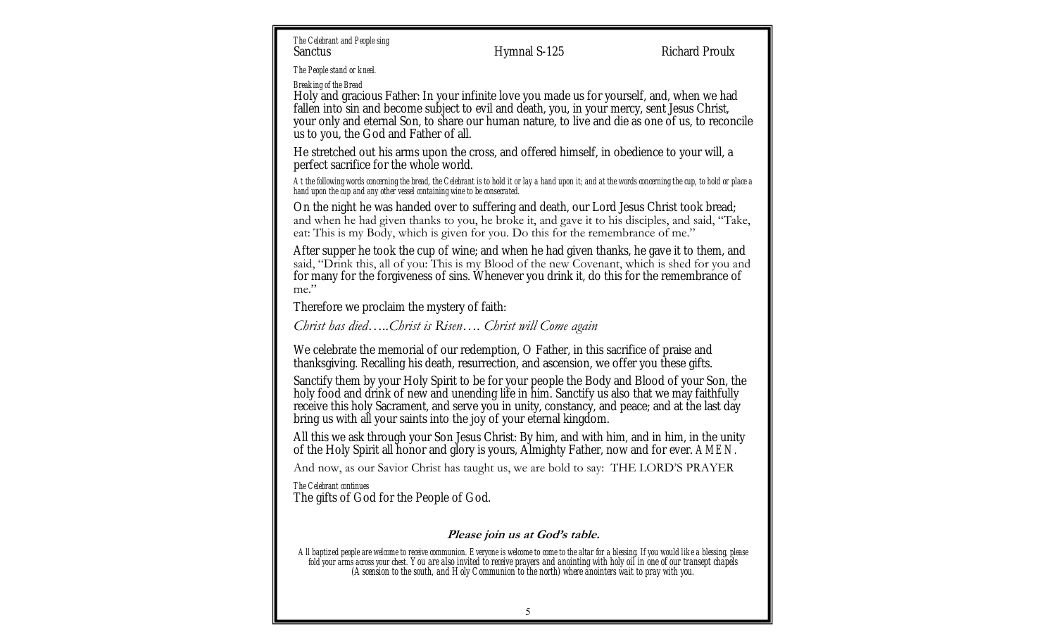*The Celebrant and People sing* Sanctus **Exercise Sanctus** Hymnal S-125 Richard Proulx

*The People stand or kneel.*

*Breaking of the Bread*

Holy and gracious Father: In your infinite love you made us for yourself, and, when we had fallen into sin and become subject to evil and death, you, in your mercy, sent Jesus Christ, your only and eternal Son, to share our human nature, to live and die as one of us, to reconcile us to you, the God and Father of all.

He stretched out his arms upon the cross, and offered himself, in obedience to your will, a perfect sacrifice for the whole world.

*At the following words concerning the bread, the Celebrant is to hold it or lay a hand upon it; and at the words concerning the cup, to hold or place a hand upon the cup and any other vessel containing wine to be consecrated.*

On the night he was handed over to suffering and death, our Lord Jesus Christ took bread; and when he had given thanks to you, he broke it, and gave it to his disciples, and said, "Take, eat: This is my Body, which is given for you. Do this for the remembrance of me."

After supper he took the cup of wine; and when he had given thanks, he gave it to them, and said, "Drink this, all of you: This is my Blood of the new Covenant, which is shed for you and for many for the forgiveness of sins. Whenever you drink it, do this for the remembrance of me."

Therefore we proclaim the mystery of faith:

*Christ has died…..Christ is Risen…. Christ will Come again*

We celebrate the memorial of our redemption, O Father, in this sacrifice of praise and thanksgiving. Recalling his death, resurrection, and ascension, we offer you these gifts.

Sanctify them by your Holy Spirit to be for your people the Body and Blood of your Son, the holy food and drink of new and unending life in him. Sanctify us also that we may faithfully receive this holy Sacrament, and serve you in unity, constancy, and peace; and at the last day bring us with all your saints into the joy of your eternal kingdom.

All this we ask through your Son Jesus Christ: By him, and with him, and in him, in the unity of the Holy Spirit all honor and glory is yours, Almighty Father, now and for ever. *AMEN.*

And now, as our Savior Christ has taught us, we are bold to say: THE LORD'S PRAYER

*The Celebrant continues*

The gifts of God for the People of God.

## **Please join us at God's table.**

*All baptized people are welcome to receive communion. Everyone is welcome to come to the altar for a blessing. If you would like a blessing, please fold your arms across your chest. You are also invited to receive prayers and anointing with holy oil in one of our transept chapels (Ascension to the south, and Holy Communion to the north) where anointers wait to pray with you.*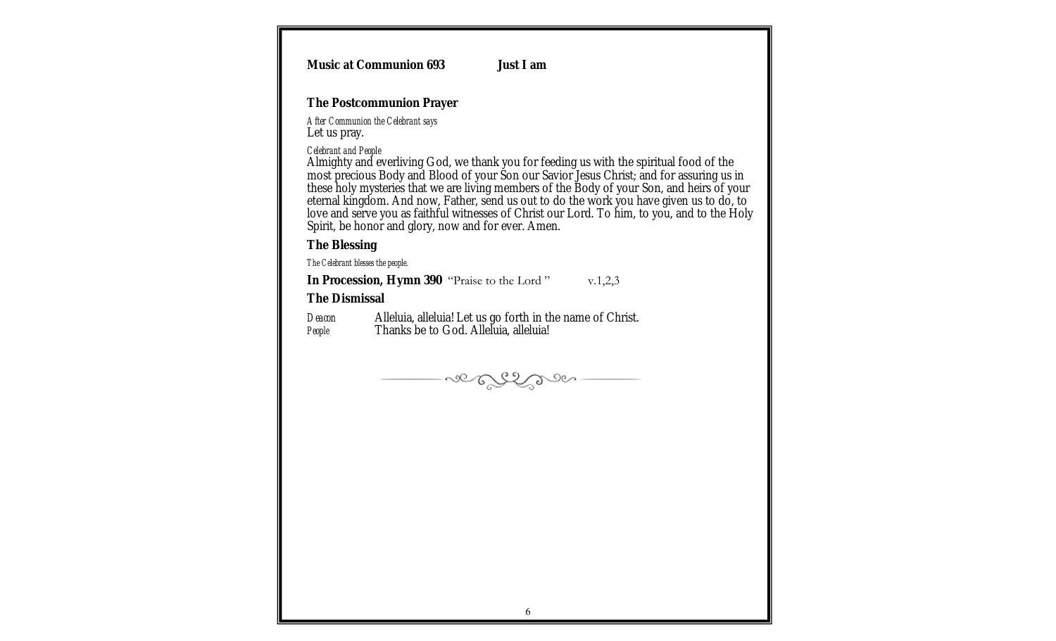| Music at Communion 693<br>Just I am                                                                                                                                                                                                                                                                                                                                                                                                                                                                                                                          |  |
|--------------------------------------------------------------------------------------------------------------------------------------------------------------------------------------------------------------------------------------------------------------------------------------------------------------------------------------------------------------------------------------------------------------------------------------------------------------------------------------------------------------------------------------------------------------|--|
| The Postcommunion Prayer                                                                                                                                                                                                                                                                                                                                                                                                                                                                                                                                     |  |
| After Communion the Celebrant says<br>Let us pray.                                                                                                                                                                                                                                                                                                                                                                                                                                                                                                           |  |
| Celebrant and People<br>Almighty and everliving God, we thank you for feeding us with the spiritual food of the<br>most precious Body and Blood of your Son our Savior Jesus Christ; and for assuring us in<br>these holy mysteries that we are living members of the Body of your Son, and heirs of your<br>eternal kingdom. And now, Father, send us out to do the work you have given us to do, to<br>love and serve you as faithful witnesses of Christ our Lord. To him, to you, and to the Holy<br>Spirit, be honor and glory, now and for ever. Amen. |  |
| The Blessing                                                                                                                                                                                                                                                                                                                                                                                                                                                                                                                                                 |  |
| The Celebrant blesses the people.                                                                                                                                                                                                                                                                                                                                                                                                                                                                                                                            |  |
| In Procession, Hymn 390 "Praise to the Lord" v.1,2,3                                                                                                                                                                                                                                                                                                                                                                                                                                                                                                         |  |
| The Dismissal                                                                                                                                                                                                                                                                                                                                                                                                                                                                                                                                                |  |
| Alleluia, alleluia! Let us go forth in the name of Christ.<br>Deacon<br>Thanks be to God. Alleluia, alleluia!<br>People                                                                                                                                                                                                                                                                                                                                                                                                                                      |  |
| ver ESS                                                                                                                                                                                                                                                                                                                                                                                                                                                                                                                                                      |  |
|                                                                                                                                                                                                                                                                                                                                                                                                                                                                                                                                                              |  |
|                                                                                                                                                                                                                                                                                                                                                                                                                                                                                                                                                              |  |
| 6                                                                                                                                                                                                                                                                                                                                                                                                                                                                                                                                                            |  |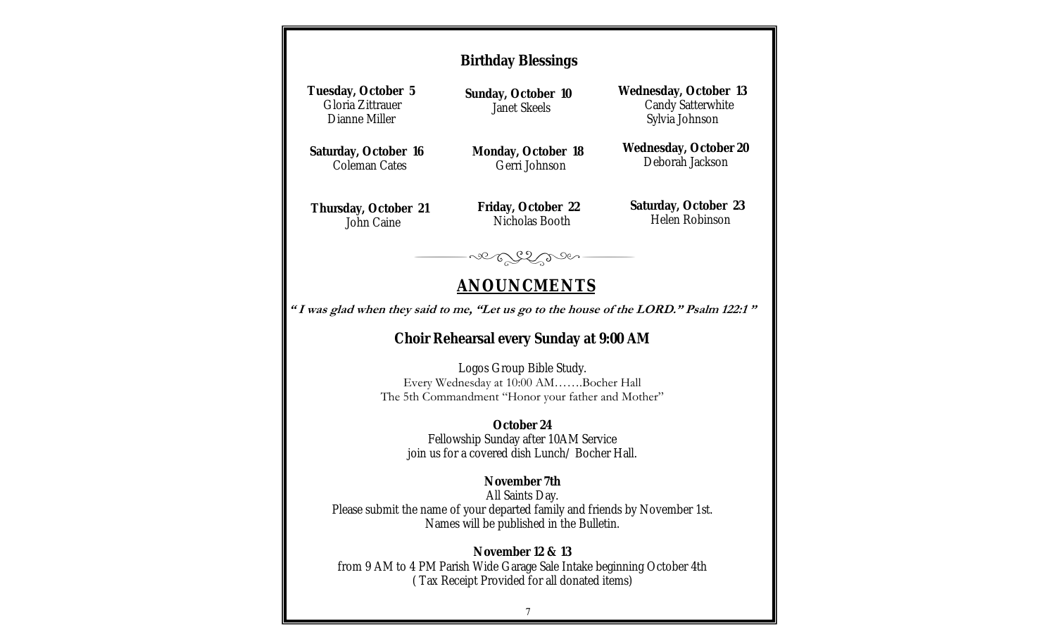| <b>Birthday Blessings</b>                                                                                                                                  |                                      |                                                              |  |  |  |  |
|------------------------------------------------------------------------------------------------------------------------------------------------------------|--------------------------------------|--------------------------------------------------------------|--|--|--|--|
| Tuesday, October 5<br>Gloria Zittrauer<br>Dianne Miller                                                                                                    | Sunday, October 10<br>Janet Skeels   | Wednesday, October 13<br>Candy Satterwhite<br>Sylvia Johnson |  |  |  |  |
| Saturday, October 16<br>Coleman Cates                                                                                                                      | Monday, October 18<br>Gerri Johnson  | Wednesday, October 20<br>Deborah Jackson                     |  |  |  |  |
| Thursday, October 21<br>John Caine                                                                                                                         | Friday, October 22<br>Nicholas Booth | Saturday, October 23<br>Helen Robinson                       |  |  |  |  |
| so Erber                                                                                                                                                   |                                      |                                                              |  |  |  |  |
| <u>ANOUNCMENTS</u>                                                                                                                                         |                                      |                                                              |  |  |  |  |
| "I was glad when they said to me, "Let us go to the house of the LORD." Psalm 122:1"                                                                       |                                      |                                                              |  |  |  |  |
| Choir Rehearsal every Sunday at 9:00 AM                                                                                                                    |                                      |                                                              |  |  |  |  |
| Logos Group Bible Study.<br>Every Wednesday at 10:00 AMBocher Hall<br>The 5th Commandment "Honor your father and Mother"                                   |                                      |                                                              |  |  |  |  |
| October 24<br>Fellowship Sunday after 10AM Service<br>join us for a covered dish Lunch/ Bocher Hall.                                                       |                                      |                                                              |  |  |  |  |
| November 7th<br>All Saints Day.<br>Please submit the name of your departed family and friends by November 1st.<br>Names will be published in the Bulletin. |                                      |                                                              |  |  |  |  |
| November 12 & 13<br>from 9 AM to 4 PM Parish Wide Garage Sale Intake beginning October 4th<br>(Tax Receipt Provided for all donated items)                 |                                      |                                                              |  |  |  |  |
|                                                                                                                                                            |                                      |                                                              |  |  |  |  |